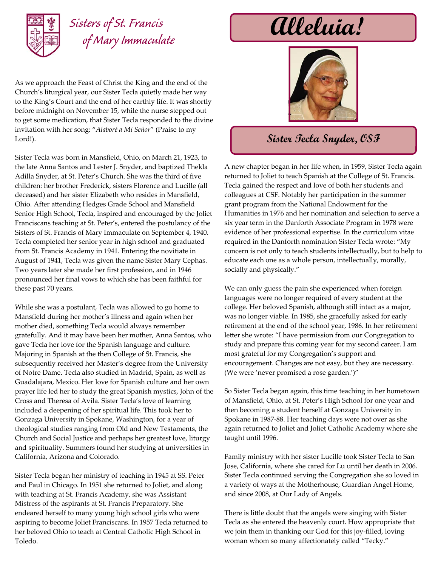

## *Sisters of St. Francis*

As we approach the Feast of Christ the King and the end of the Church's liturgical year, our Sister Tecla quietly made her way to the King's Court and the end of her earthly life. It was shortly before midnight on November 15, while the nurse stepped out to get some medication, that Sister Tecla responded to the divine invitation with her song: "*Alaboré a Mi Seńor*" (Praise to my Lord!).

Sister Tecla was born in Mansfield, Ohio, on March 21, 1923, to the late Anna Santos and Lester J. Snyder, and baptized Thekla Adilla Snyder, at St. Peter's Church. She was the third of five children: her brother Frederick, sisters Florence and Lucille (all deceased) and her sister Elizabeth who resides in Mansfield, Ohio. After attending Hedges Grade School and Mansfield Senior High School, Tecla, inspired and encouraged by the Joliet Franciscans teaching at St. Peter's, entered the postulancy of the Sisters of St. Francis of Mary Immaculate on September 4, 1940. Tecla completed her senior year in high school and graduated from St. Francis Academy in 1941. Entering the novitiate in August of 1941, Tecla was given the name Sister Mary Cephas. Two years later she made her first profession, and in 1946 pronounced her final vows to which she has been faithful for these past 70 years.

While she was a postulant, Tecla was allowed to go home to Mansfield during her mother's illness and again when her mother died, something Tecla would always remember gratefully. And it may have been her mother, Anna Santos, who gave Tecla her love for the Spanish language and culture. Majoring in Spanish at the then College of St. Francis, she subsequently received her Master's degree from the University of Notre Dame. Tecla also studied in Madrid, Spain, as well as Guadalajara, Mexico. Her love for Spanish culture and her own prayer life led her to study the great Spanish mystics, John of the Cross and Theresa of Avila. Sister Tecla's love of learning included a deepening of her spiritual life. This took her to Gonzaga University in Spokane, Washington, for a year of theological studies ranging from Old and New Testaments, the Church and Social Justice and perhaps her greatest love, liturgy and spirituality. Summers found her studying at universities in California, Arizona and Colorado.

Sister Tecla began her ministry of teaching in 1945 at SS. Peter and Paul in Chicago. In 1951 she returned to Joliet, and along with teaching at St. Francis Academy, she was Assistant Mistress of the aspirants at St. Francis Preparatory. She endeared herself to many young high school girls who were aspiring to become Joliet Franciscans. In 1957 Tecla returned to her beloved Ohio to teach at Central Catholic High School in Toledo.

## $\mu$ *Meluia!*



## **Sister Tecla Snyder, OSF**

A new chapter began in her life when, in 1959, Sister Tecla again returned to Joliet to teach Spanish at the College of St. Francis. Tecla gained the respect and love of both her students and colleagues at CSF. Notably her participation in the summer grant program from the National Endowment for the Humanities in 1976 and her nomination and selection to serve a six year term in the Danforth Associate Program in 1978 were evidence of her professional expertise. In the curriculum vitae required in the Danforth nomination Sister Tecla wrote: "My concern is not only to teach students intellectually, but to help to educate each one as a whole person, intellectually, morally, socially and physically."

We can only guess the pain she experienced when foreign languages were no longer required of every student at the college. Her beloved Spanish, although still intact as a major, was no longer viable. In 1985, she gracefully asked for early retirement at the end of the school year, 1986. In her retirement letter she wrote: "I have permission from our Congregation to study and prepare this coming year for my second career. I am most grateful for my Congregation's support and encouragement. Changes are not easy, but they are necessary. (We were 'never promised a rose garden.')"

So Sister Tecla began again, this time teaching in her hometown of Mansfield, Ohio, at St. Peter's High School for one year and then becoming a student herself at Gonzaga University in Spokane in 1987-88. Her teaching days were not over as she again returned to Joliet and Joliet Catholic Academy where she taught until 1996.

Family ministry with her sister Lucille took Sister Tecla to San Jose, California, where she cared for Lu until her death in 2006. Sister Tecla continued serving the Congregation she so loved in a variety of ways at the Motherhouse, Guardian Angel Home, and since 2008, at Our Lady of Angels.

There is little doubt that the angels were singing with Sister Tecla as she entered the heavenly court. How appropriate that we join them in thanking our God for this joy-filled, loving woman whom so many affectionately called "Tecky."